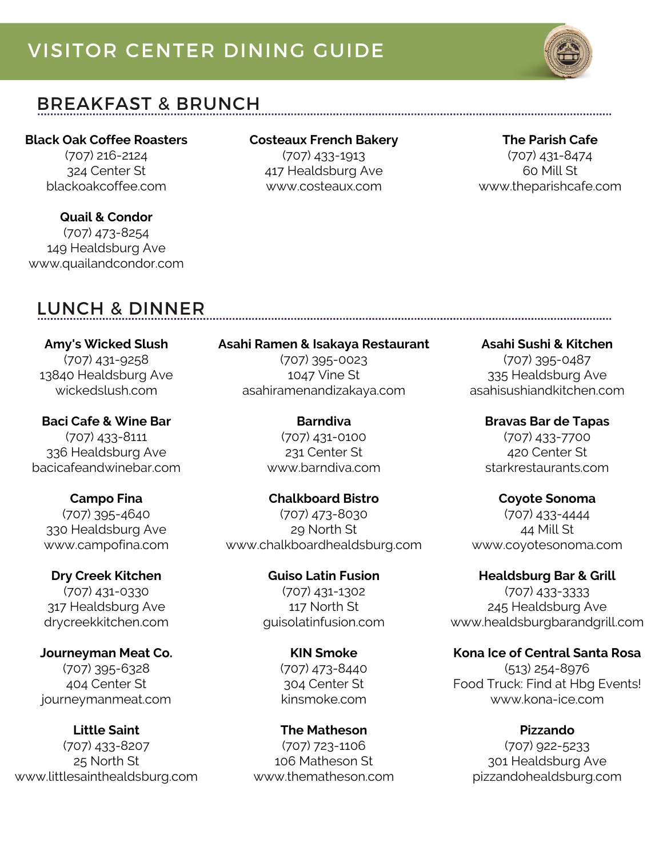# VISITOR CENTER DINING GUIDE



## BREAKFAST & BRUNCH

### **Black Oak Coffee Roasters**

(707) 216-2124 324 Center St blackoakcoffee.com

**Quail & Condor** (707) 473-8254 149 Healdsburg Ave www.quailandcondor.com

## LUNCH & DINNER

**Amy's Wicked Slush** (707) 431-9258 13840 Healdsburg Ave wickedslush.com

**Baci Cafe & Wine Bar** (707) 433-8111 336 Healdsburg Ave bacicafeandwinebar.com

**Campo Fina** (707) 395-4640 330 Healdsburg Ave www.campofina.com

**Dry Creek Kitchen** (707) 431-0330 317 Healdsburg Ave drycreekkitchen.com

**Journeyman Meat Co.** (707) 395-6328 404 Center St journeymanmeat.com

**Little Saint** (707) 433-8207 25 North St www.littlesainthealdsburg.com

## **Costeaux French Bakery**

(707) 433-1913 417 Healdsburg Ave www.costeaux.com

#### **The Parish Cafe**

(707) 431-8474 60 Mill St www.theparishcafe.com

**Asahi Ramen & Isakaya Restaurant**

(707) 395-0023 1047 Vine St asahiramenandizakaya.com

> **Barndiva** (707) 431-0100 231 Center St www.barndiva.com

**Chalkboard Bistro** (707) 473-8030 29 North St www.chalkboardhealdsburg.com

> **Guiso Latin Fusion** (707) 431-1302 117 North St guisolatinfusion.com

> > **KIN Smoke** (707) 473-8440 304 Center St kinsmoke.com

**The Matheson** (707) 723-1106 106 Matheson St www.thematheson.com **Asahi Sushi & Kitchen** (707) 395-0487 335 Healdsburg Ave

asahisushiandkitchen.com

**Bravas Bar de Tapas** (707) 433-7700 420 Center St starkrestaurants.com

**Coyote Sonoma**

(707) 433-4444 44 Mill St www.coyotesonoma.com

**Healdsburg Bar & Grill**

(707) 433-3333 245 Healdsburg Ave www.healdsburgbarandgrill.com

**Kona Ice of Central Santa Rosa**

(513) 254-8976 Food Truck: Find at Hbg Events! www.kona-ice.com

> **Pizzando** (707) 922-5233 301 Healdsburg Ave pizzandohealdsburg.com